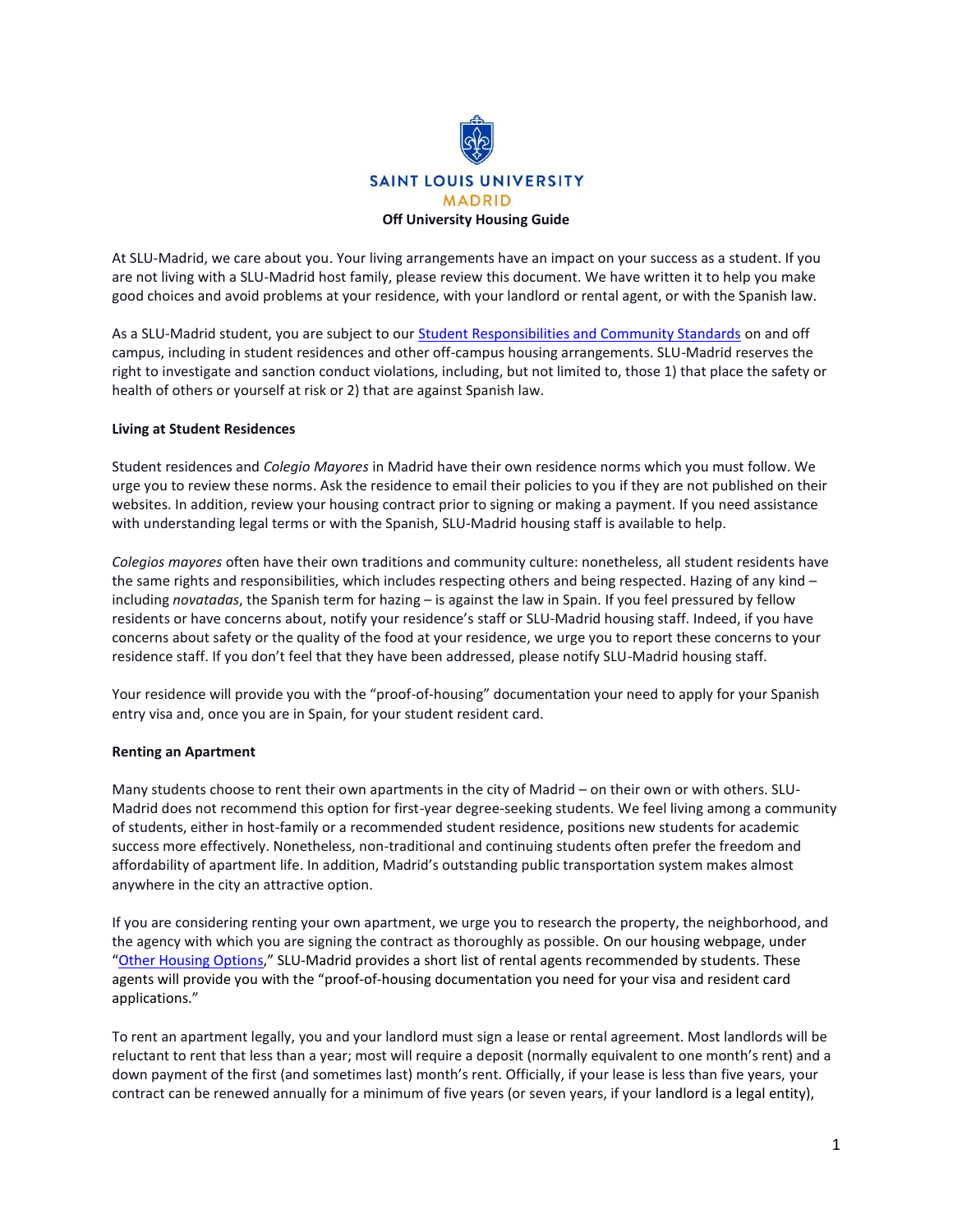

At SLU-Madrid, we care about you. Your living arrangements have an impact on your success as a student. If you are not living with a SLU-Madrid host family, please review this document. We have written it to help you make good choices and avoid problems at your residence, with your landlord or rental agent, or with the Spanish law.

As a SLU-Madrid student, you are subject to our [Student Responsibilities and Community Standards](https://www.slu.edu/madrid/campus-life/docs/student-responsibilities.pdf) on and off campus, including in student residences and other off-campus housing arrangements. SLU-Madrid reserves the right to investigate and sanction conduct violations, including, but not limited to, those 1) that place the safety or health of others or yourself at risk or 2) that are against Spanish law.

## **Living at Student Residences**

Student residences and *Colegio Mayores* in Madrid have their own residence norms which you must follow. We urge you to review these norms. Ask the residence to email their policies to you if they are not published on their websites. In addition, review your housing contract prior to signing or making a payment. If you need assistance with understanding legal terms or with the Spanish, SLU-Madrid housing staff is available to help.

*Colegios mayores* often have their own traditions and community culture: nonetheless, all student residents have the same rights and responsibilities, which includes respecting others and being respected. Hazing of any kind – including *novatadas*, the Spanish term for hazing – is against the law in Spain. If you feel pressured by fellow residents or have concerns about, notify your residence's staff or SLU-Madrid housing staff. Indeed, if you have concerns about safety or the quality of the food at your residence, we urge you to report these concerns to your residence staff. If you don't feel that they have been addressed, please notify SLU-Madrid housing staff.

Your residence will provide you with the "proof-of-housing" documentation your need to apply for your Spanish entry visa and, once you are in Spain, for your student resident card.

## **Renting an Apartment**

Many students choose to rent their own apartments in the city of Madrid – on their own or with others. SLU-Madrid does not recommend this option for first-year degree-seeking students. We feel living among a community of students, either in host-family or a recommended student residence, positions new students for academic success more effectively. Nonetheless, non-traditional and continuing students often prefer the freedom and affordability of apartment life. In addition, Madrid's outstanding public transportation system makes almost anywhere in the city an attractive option.

If you are considering renting your own apartment, we urge you to research the property, the neighborhood, and the agency with which you are signing the contract as thoroughly as possible. On our housing webpage, under "[Other Housing Options](https://www.slu.edu/madrid/campus-life/housing/housing-options-for-study-abroad-transfer-and-upper-classmen/index.php)," SLU-Madrid provides a short list of rental agents recommended by students. These agents will provide you with the "proof-of-housing documentation you need for your visa and resident card applications."

To rent an apartment legally, you and your landlord must sign a lease or rental agreement. Most landlords will be reluctant to rent that less than a year; most will require a deposit (normally equivalent to one month's rent) and a down payment of the first (and sometimes last) month's rent. Officially, if your lease is less than five years, your contract can be renewed annually for a minimum of five years (or seven years, if your landlord is a legal entity),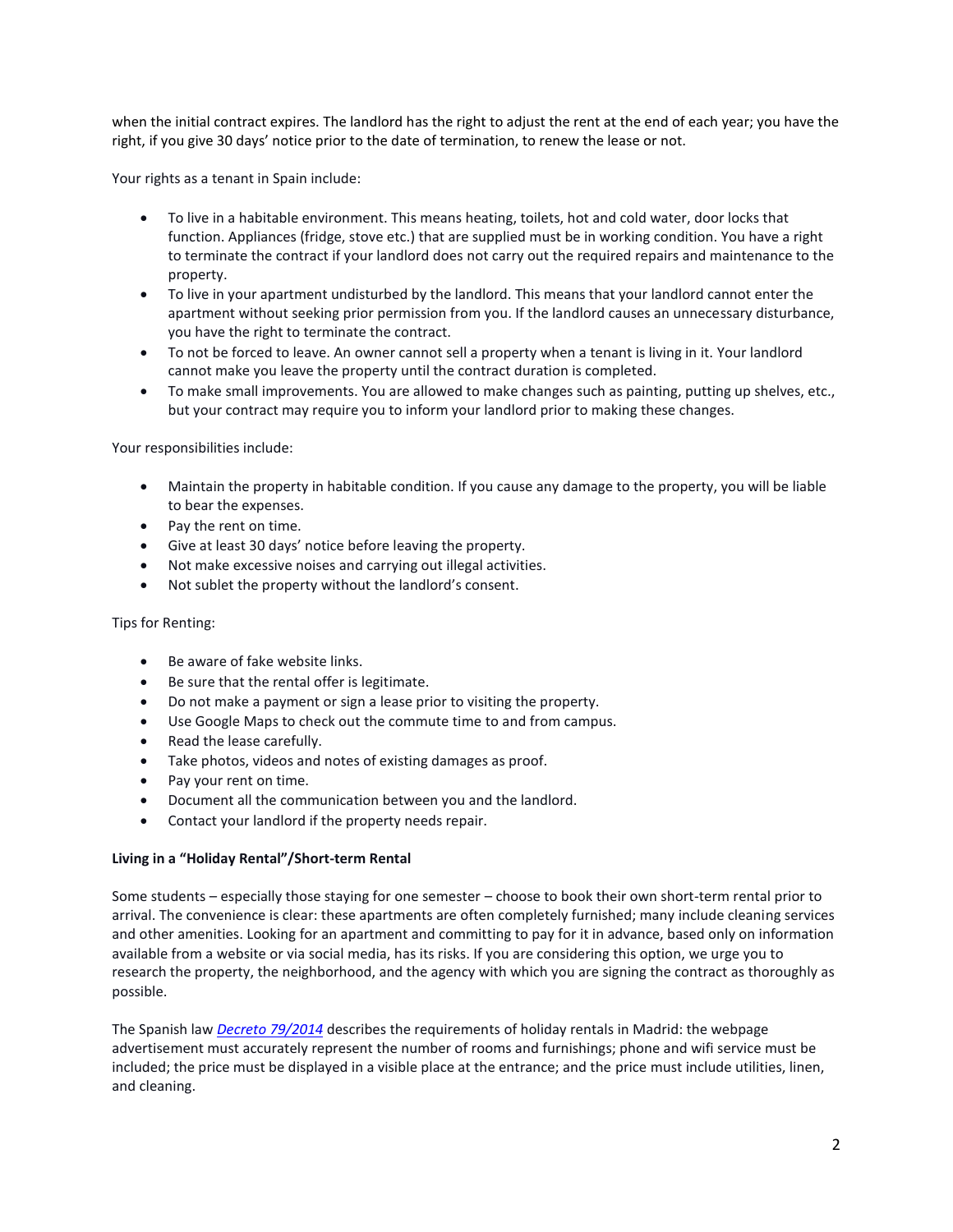when the initial contract expires. The landlord has the right to adjust the rent at the end of each year; you have the right, if you give 30 days' notice prior to the date of termination, to renew the lease or not.

Your rights as a tenant in Spain include:

- To live in a habitable environment. This means heating, toilets, hot and cold water, door locks that function. Appliances (fridge, stove etc.) that are supplied must be in working condition. You have a right to terminate the contract if your landlord does not carry out the required repairs and maintenance to the property.
- To live in your apartment undisturbed by the landlord. This means that your landlord cannot enter the apartment without seeking prior permission from you. If the landlord causes an unnecessary disturbance, you have the right to terminate the contract.
- To not be forced to leave. An owner cannot sell a property when a tenant is living in it. Your landlord cannot make you leave the property until the contract duration is completed.
- To make small improvements. You are allowed to make changes such as painting, putting up shelves, etc., but your contract may require you to inform your landlord prior to making these changes.

Your responsibilities include:

- Maintain the property in habitable condition. If you cause any damage to the property, you will be liable to bear the expenses.
- Pay the rent on time.
- Give at least 30 days' notice before leaving the property.
- Not make excessive noises and carrying out illegal activities.
- Not sublet the property without the landlord's consent.

Tips for Renting:

- Be aware of fake website links.
- Be sure that the rental offer is legitimate.
- Do not make a payment or sign a lease prior to visiting the property.
- Use Google Maps to check out the commute time to and from campus.
- Read the lease carefully.
- Take photos, videos and notes of existing damages as proof.
- Pay your rent on time.
- Document all the communication between you and the landlord.
- Contact your landlord if the property needs repair.

# **Living in a "Holiday Rental"/Short-term Rental**

Some students – especially those staying for one semester – choose to book their own short-term rental prior to arrival. The convenience is clear: these apartments are often completely furnished; many include cleaning services and other amenities. Looking for an apartment and committing to pay for it in advance, based only on information available from a website or via social media, has its risks. If you are considering this option, we urge you to research the property, the neighborhood, and the agency with which you are signing the contract as thoroughly as possible.

The Spanish law *[Decreto 79/2014](http://www.bocm.es/boletin/CM_Orden_BOCM/2014/07/31/BOCM-20140731-1.PDF)* describes the requirements of holiday rentals in Madrid: the webpage advertisement must accurately represent the number of rooms and furnishings; phone and wifi service must be included; the price must be displayed in a visible place at the entrance; and the price must include utilities, linen, and cleaning.